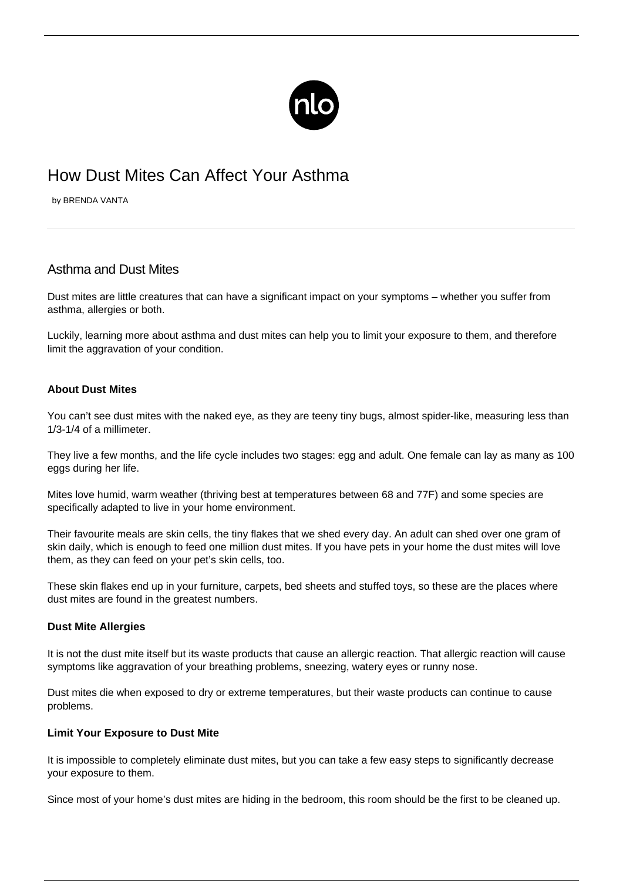

# How Dust Mites Can Affect Your Asthma

by BRENDA VANTA

# Asthma and Dust Mites

Dust mites are little creatures that can have a significant impact on your symptoms – whether you suffer from asthma, allergies or both.

Luckily, learning more about asthma and dust mites can help you to limit your exposure to them, and therefore limit the aggravation of your condition.

## **About Dust Mites**

You can't see dust mites with the naked eye, as they are teeny tiny bugs, almost spider-like, measuring less than 1/3-1/4 of a millimeter.

They live a few months, and the life cycle includes two stages: egg and adult. One female can lay as many as 100 eggs during her life.

Mites love humid, warm weather (thriving best at temperatures between 68 and 77F) and some species are specifically adapted to live in your home environment.

Their favourite meals are skin cells, the tiny flakes that we shed every day. An adult can shed over one gram of skin daily, which is enough to feed one million dust mites. If you have pets in your home the dust mites will love them, as they can feed on [your pet's](/should-you-own-a-pet/) skin cells, too.

These skin flakes end up in your furniture, carpets, bed sheets and stuffed toys, so these are the places where dust mites are found in the greatest numbers.

### **Dust Mite Allergies**

It is not the dust mite itself but its waste products that cause an allergic reaction. That allergic reaction will cause symptoms like aggravation of your breathing problems, sneezing, watery eyes or runny nose.

Dust mites die when exposed to dry or extreme temperatures, but their waste products can continue to cause problems.

### **Limit Your Exposure to Dust Mite**

It is impossible to completely eliminate dust mites, but you can take a few easy steps to significantly decrease your exposure to them.

Since most of your home's dust mites are hiding in the bedroom, this room should be the first to be cleaned up.